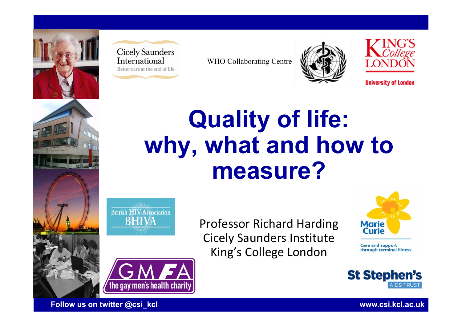



WHO Collaborating Centre



**University of London** 







the gay men's health charity

Professor Richard Harding Cicely Saunders Institute King's College London



**Care and support** through terminal illness



**Follow us on twitter @csi\_kcl www.csi.kcl.ac.uk**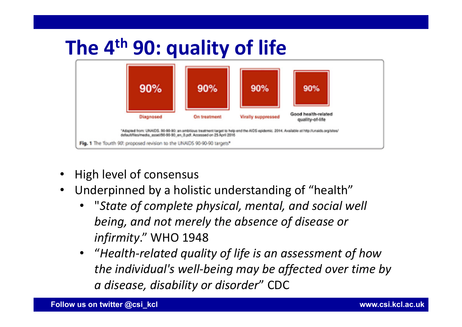

- •High level of consensus
- $\bullet$  Underpinned by a holistic understanding of "health"
	- •"*State of complete physical, mental, and social well being, and not merely the absence of disease or infirmity*." WHO 1948
	- "*Health‐related quality of life is an assessment of how the individual's well‐being may be affected over time by a disease, disability or disorder*" CDC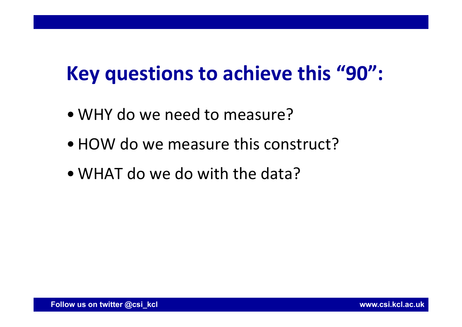# **Key questions to achieve this "90":**

- WHY do we need to measure?
- HOW do we measure this construct?
- WHAT do we do with the data?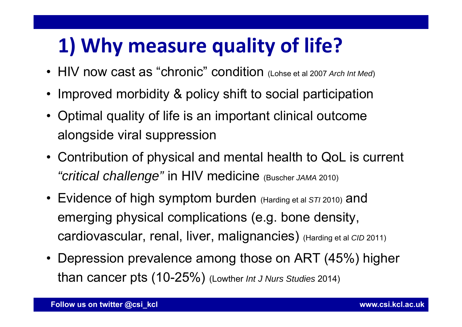# **1) Why measure quality of life?**

- HIV now cast as "chronic" condition (Lohse et al 2007 *Arch Int Med*)
- Improved morbidity & policy shift to social participation
- Optimal quality of life is an important clinical outcome alongside viral suppression
- Contribution of physical and mental health to QoL is current *"critical challenge"* in HIV medicine (Buscher *JAMA* 2010)
- Evidence of high symptom burden (Harding et al *STI* 2010) and emerging physical complications (e.g. bone density, cardiovascular, renal, liver, malignancies) (Harding et al *CID* 2011)
- Depression prevalence among those on ART (45%) higher than cancer pts (10-25%) (Lowther *Int J Nurs Studies* 2014)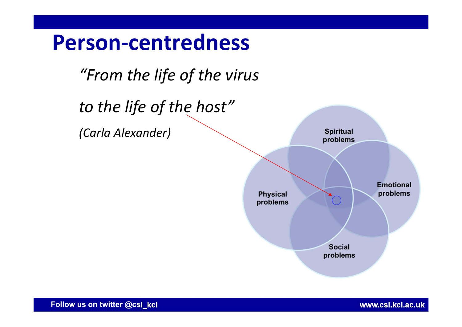

**Follow us on twitter @csi\_kcl www.csi.kcl.ac.uk**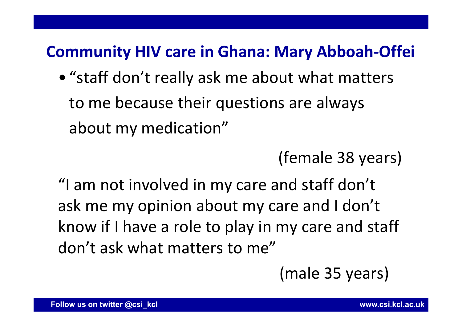### **Community HIV care in Ghana: Mary Abboah‐Offei**

• "staff don't really ask me about what matters to me because their questions are always about my medication"

(female 38 years)

"I am not involved in my care and staff don't ask me my opinion about my care and I don't know if I have a role to play in my care and staff don't ask what matters to me"

(male 35 years)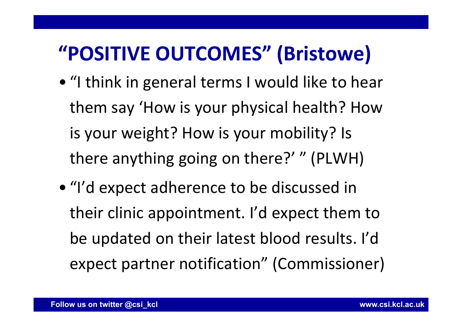## **"POSITIVE OUTCOMES" (Bristowe)**

- "I think in general terms I would like to hear them say 'How is your physical health? How is your weight? How is your mobility? Is there anything going on there?' " (PLWH)
- "I'd expect adherence to be discussed in their clinic appointment. I'd expect them to be updated on their latest blood results. I'd expect partner notification" (Commissioner)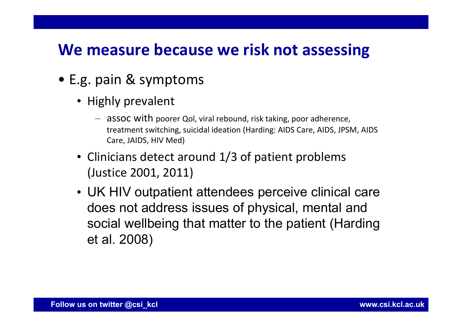### **We measure because we risk not assessing**

- E.g. pain & symptoms
	- Highly prevalent
		- assoc with poorer Qol, viral rebound, risk taking, poor adherence, treatment switching, suicidal ideation (Harding: AIDS Care, AIDS, JPSM, AIDS Care, JAIDS, HIV Med)
	- Clinicians detect around 1/3 of patient problems (Justice 2001, 2011)
	- UK HIV outpatient attendees perceive clinical care does not address issues of physical, mental and social wellbeing that matter to the patient (Harding et al. 2008)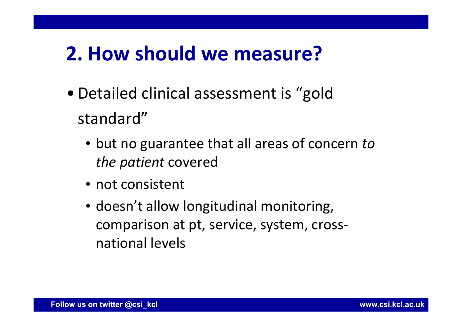### **2. How should we measure?**

- Detailed clinical assessment is "gold standard"
	- but no guarantee that all areas of concern *to the patient* covered
	- not consistent
	- doesn't allow longitudinal monitoring, comparison at pt, service, system, cross‐ national levels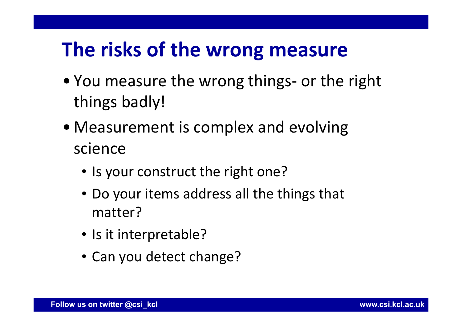### **The risks of the wrong measure**

- You measure the wrong things- or the right things badly!
- Measurement is complex and evolving science
	- Is your construct the right one?
	- Do your items address all the things that matter?
	- Is it interpretable?
	- Can you detect change?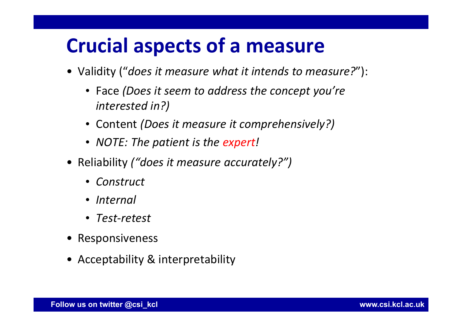### **Crucial aspects of a measure**

- Validity ("*does it measure what it intends to measure?*"):
	- Face *(Does it seem to address the concept you're interested in?)*
	- Content *(Does it measure it comprehensively?)*
	- *NOTE: The patient is the expert !*
- Reliability *("does it measure accurately?")*
	- *Construct*
	- *Internal*
	- *Test‐retest*
- Responsiveness
- Acceptability & interpretability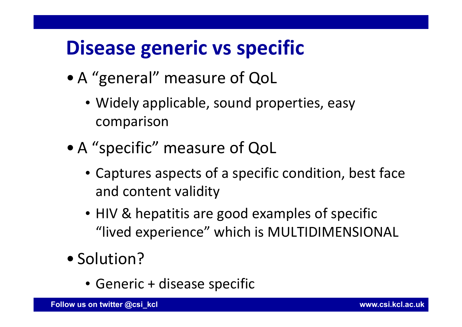## **Disease generic vs specific**

- A "general" measure of QoL
	- Widely applicable, sound properties, easy comparison
- A "specific" measure of QoL
	- Captures aspects of a specific condition, best face and content validity
	- HIV & hepatitis are good examples of specific "lived experience" which is MULTIDIMENSIONAL
- Solution?
	- Generic + disease specific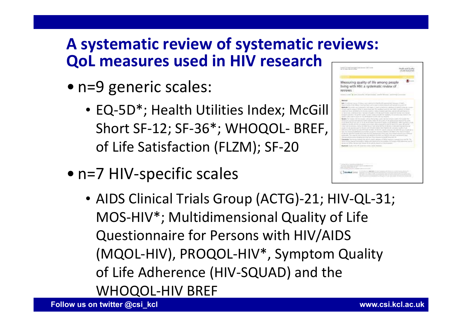### **A systematic review of systematic reviews: QoL measures used in HIV research**

- n=9 generic scales:
	- EQ-5D\*; Health Utilities Index; McGill Short SF-12; SF-36\*; WHOQOL- BREF, of Life Satisfaction (FLZM); SF‐20
- n=7 HIV-specific scales



• AIDS Clinical Trials Group (ACTG)‐21; HIV‐QL‐31; MOS‐HIV\*; Multidimensional Quality of Life Questionnaire for Persons with HIV/AIDS (MQOL‐HIV), PROQOL‐HIV\*, Symptom Quality of Life Adherence (HIV‐SQUAD) and the WHOQOL‐HIV BREF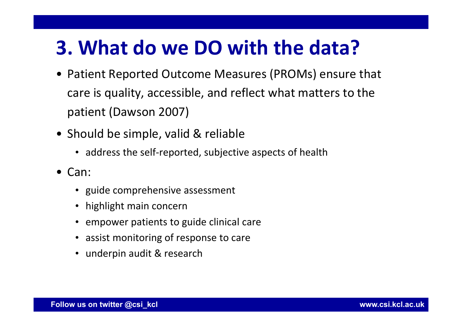### **3. What do we DO with the data?**

- Patient Reported Outcome Measures (PROMs) ensure that care is quality, accessible, and reflect what matters to the patient (Dawson 2007)
- Should be simple, valid & reliable
	- address the self-reported, subjective aspects of health
- Can:
	- guide comprehensive assessment
	- highlight main concern
	- empower patients to guide clinical care
	- assist monitoring of response to care
	- underpin audit & research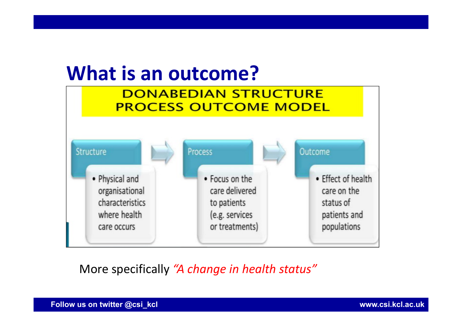

(e.g. services

or treatments)

More specifically *"A change in health status"*

**Follow us on twitter @csi\_kcl www.csi.kcl.ac.uk**

where health

care occurs

patients and

populations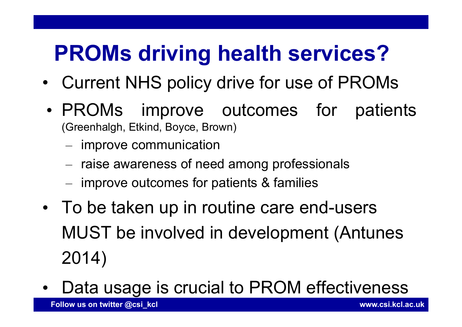# **PROMs driving health services?**

- •Current NHS policy drive for use of PROMs
- • PROMs improve outcomes for patients (Greenhalgh, Etkind, Boyce, Brown)
	- $-$  improve communication
	- raise awareness of need among professionals
	- improve outcomes for patients & families
- • To be taken up in routine care end-users MUST be involved in development (Antunes 2014)
- •Data usage is crucial to PROM effectiveness

**Follow us on twitter @csi\_kcl www.csi.kcl.ac.uk**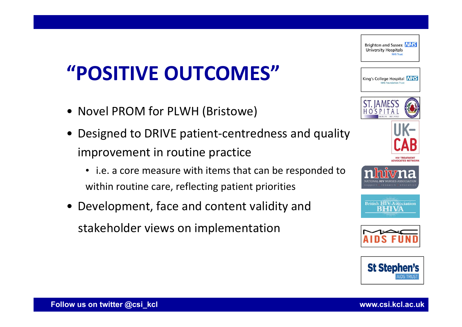# **"POSITIVE OUTCOMES"**

- Novel PROM for PLWH (Bristowe)
- Designed to DRIVE patient‐centredness and quality improvement in routine practice
	- i.e. a core measure with items that can be responded to within routine care, reflecting patient priorities
- Development, face and content validity and stakeholder views on implementation



Brighton and Sussex NHS **University Hospitals**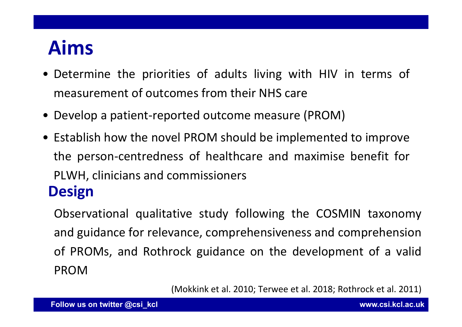# **Aims**

- Determine the priorities of adults living with HIV in terms of measurement of outcomes from their NHS care
- Develop <sup>a</sup> patient‐reported outcome measure (PROM)
- Establish how the novel PROM should be implemented to improve the person‐centredness of healthcare and maximise benefit for PLWH, clinicians and commissioners **Design**

Observational qualitative study following the COSMIN taxonomy and guidance for relevance, comprehensiveness and comprehension of PROMs, and Rothrock guidance on the development of <sup>a</sup> valid PROM

(Mokkink et al. 2010; Terwee et al. 2018; Rothrock et al. 2011)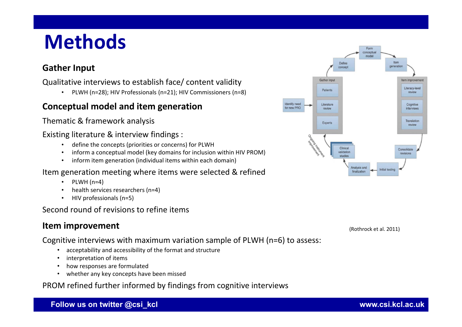## **Methods**

### **Gather Input**

Qualitative interviews to establish face/ content validity

• PLWH (n=28); HIV Professionals (n=21); HIV Commissioners (n=8)

### **Conceptual model and item generation**

Thematic & framework analysis

#### Existing literature & interview findings :

- •define the concepts (priorities or concerns) for PLWH
- •inform <sup>a</sup> conceptual model (key domains for inclusion within HIV PROM)
- •inform item generation (individual items within each domain)

### Item generation meeting where items were selected & refined

- •PLWH (n=4)
- •health services researchers (n=4)
- •HIV professionals (n=5)

### Second round of revisions to refine items

### **Item improvement**

Cognitive interviews with maximum variation sample of PLWH (n=6) to assess:

- •acceptability and accessibility of the format and structure
- •interpretation of items
- •how responses are formulated
- whether any key concepts have been missed

PROM refined further informed by findings from cognitive interviews



(Rothrock et al. 2011)

**Follow us on twitter @csi\_kcl www.csi.kcl.ac.uk**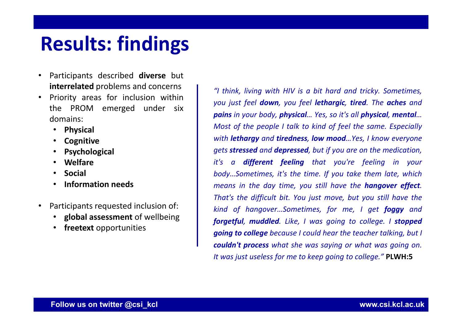### **Results: findings**

- • Participants described **diverse** but **interrelated** problems and concerns
- • Priority areas for inclusion within the PROM emerged under six domains:
	- $\bullet$ **Physical**
	- •**Cognitive**
	- •**Psychological**
	- •**Welfare**
	- •**Social**
	- •**Information needs**
- • Participants requested inclusion of:
	- •**global assessment** of wellbeing
	- •**freetext** opportunities

*"I think, living with HIV is <sup>a</sup> bit hard and tricky. Sometimes, you just feel down, you feel lethargic, tired. The aches and pains in your body, physical… Yes, so it's all physical, mental …* Most of the people I talk to kind of feel the same. Especially *with lethargy and tiredness, low mood…Yes, I know everyone gets stressed and depressed, but if you are on the medication, it's <sup>a</sup> different feeling that you're feeling in your body…Sometimes, it's the time. If you take them late, which means in the day time, you still have the hangover effect. That's the difficult bit. You just move, but you still have the kind of hangover…Sometimes, for me, I get foggy and forgetful, muddled. Like, I was going to college. I stopped going to college because I could hear the teacher talking, but I couldn't process what she was saying or what was going on. It was just useless for me to keep going to college."* **PLWH:5**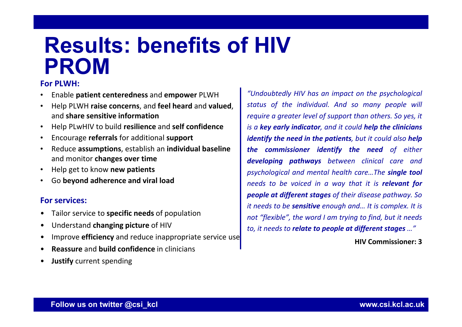### **Results: benefits of HIV PROM**

### **For PLWH:**

- •Enable **patient centeredness** and **empower** PLWH
- • Help PLWH **raise concerns**, and **feel heard** and **valued**, and **share sensitive information**
- •Help PLwHIV to build **resilience** and **self confidence**
- •Encourage **referrals** for additional **support**
- • Reduce **assumptions**, establish an **individual baseline** and monitor **changes over time**
- •Help get to know **new patients**
- •Go **beyond adherence and viral load**

#### **For services:**

- •Tailor service to **specific needs** of population
- •Understand **changing picture** of HIV
- •Improve **efficiency** and reduce inappropriate service use
- •**Reassure** and **build confidence** in clinicians
- •**Justify** current spending

*"Undoubtedly HIV has an impact on the psychological status of the individual. And so many people will require <sup>a</sup> greater level of support than others. So yes, it is <sup>a</sup> key early indicator, and it could help the clinicians identify the need in the patients, but it could also help the commissioner identify the need of either developing pathways between clinical care and psychological and mental health care…The single tool needs to be voiced in <sup>a</sup> way that it is relevant for people at different stages of their disease pathway. So it needs to be sensitive enough and… It is complex. It is not "flexible", the word I am trying to find, but it needs to, it needs to relate to people at different stages …"*

**HIV Commissioner: 3**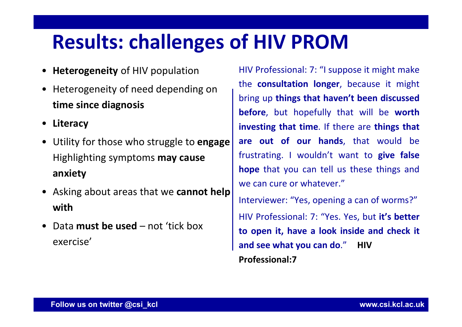### **Results: challenges of HIV PROM**

- **Heterogeneity** of HIV population
- Heterogeneity of need depending on **time since diagnosis**
- **Literacy**
- Utility for those who struggle to **engage**  Highlighting symptoms **may cause anxiety**
- Asking about areas that we **cannot help with**
- Data **must be used**  not 'tick box exercise'

HIV Professional: 7: "I suppose it might make the **consultation longer**, because it might bring up **things that haven't been discussed before**, but hopefully that will be **worth investing that time**. If there are **things that are out of our hands**, that would be frustrating. I wouldn't want to **give false hope** that you can tell us these things and we can cure or whatever." Interviewer: "Yes, opening <sup>a</sup> can of worms?"

HIV Professional: 7: "Yes. Yes, but **it's better to open it, have <sup>a</sup> look inside and check it and see what you can do**." **HIV Professional:7**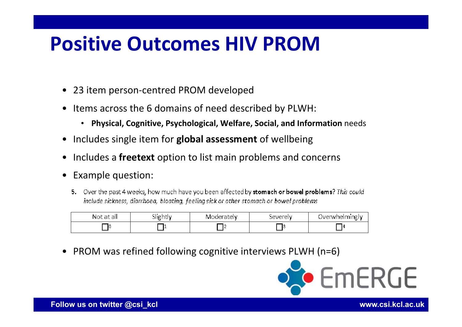### **Positive Outcomes HIV PROM**

- •23 item person‐centred PROM developed
- • Items across the 6 domains of need described by PLWH:
	- **Physical, Cognitive, Psychological, Welfare, Social, and Information** needs
- •Includes single item for **global assessment** of wellbeing
- •Includes a **freetext** option to list main problems and concerns
- • Example question:
	- 5. Over the past 4 weeks, how much have you been affected by stomach or bowel problems? This could include sickness, diarrhoea, bloating, feeling sick or other stomach or bowel problems

| Not<br>. atl<br>tal. | ີ   | ratelv:<br>IVI( | beverely. | — UVertini<br>Iming<br>nei<br>∴F\nVF |
|----------------------|-----|-----------------|-----------|--------------------------------------|
|                      | . . |                 |           | 14                                   |

•PROM was refined following cognitive interviews PLWH (n=6)